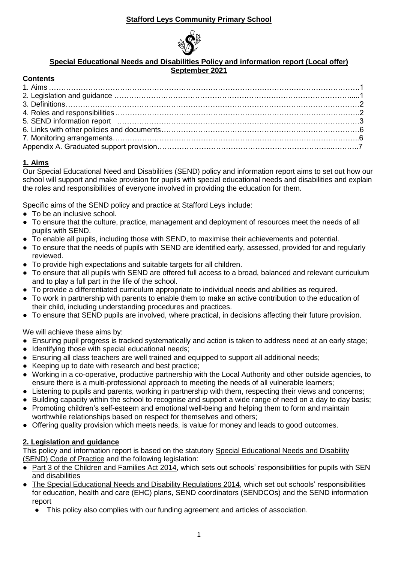# **Stafford Leys Community Primary School**



### **Special Educational Needs and Disabilities Policy and information report (Local offer) September 2021**

## **Contents**

# **1. Aims**

Our Special Educational Need and Disabilities (SEND) policy and information report aims to set out how our school will support and make provision for pupils with special educational needs and disabilities and explain the roles and responsibilities of everyone involved in providing the education for them.

Specific aims of the SEND policy and practice at Stafford Leys include:

- To be an inclusive school.
- To ensure that the culture, practice, management and deployment of resources meet the needs of all pupils with SEND.
- To enable all pupils, including those with SEND, to maximise their achievements and potential.
- To ensure that the needs of pupils with SEND are identified early, assessed, provided for and regularly reviewed.
- To provide high expectations and suitable targets for all children.
- To ensure that all pupils with SEND are offered full access to a broad, balanced and relevant curriculum and to play a full part in the life of the school.
- To provide a differentiated curriculum appropriate to individual needs and abilities as required.
- To work in partnership with parents to enable them to make an active contribution to the education of their child, including understanding procedures and practices.
- To ensure that SEND pupils are involved, where practical, in decisions affecting their future provision.

We will achieve these aims by:

- Ensuring pupil progress is tracked systematically and action is taken to address need at an early stage;
- Identifying those with special educational needs;
- Ensuring all class teachers are well trained and equipped to support all additional needs;
- Keeping up to date with research and best practice;
- Working in a co-operative, productive partnership with the Local Authority and other outside agencies, to ensure there is a multi-professional approach to meeting the needs of all vulnerable learners;
- Listening to pupils and parents, working in partnership with them, respecting their views and concerns;
- Building capacity within the school to recognise and support a wide range of need on a day to day basis;
- Promoting children's self-esteem and emotional well-being and helping them to form and maintain worthwhile relationships based on respect for themselves and others;
- Offering quality provision which meets needs, is value for money and leads to good outcomes.

# **2. Legislation and guidance**

This policy and information report is based on the statutory [Special Educational Needs and Disability](https://www.gov.uk/government/uploads/system/uploads/attachment_data/file/398815/SEND_Code_of_Practice_January_2015.pdf)  [\(SEND\) Code of Practice](https://www.gov.uk/government/uploads/system/uploads/attachment_data/file/398815/SEND_Code_of_Practice_January_2015.pdf) and the following legislation:

- [Part 3 of the Children and Families Act 2014,](http://www.legislation.gov.uk/ukpga/2014/6/part/3) which sets out schools' responsibilities for pupils with SEN and disabilities
- [The Special Educational Needs and Disability Regulations 2014,](http://www.legislation.gov.uk/uksi/2014/1530/contents/made) which set out schools' responsibilities for education, health and care (EHC) plans, SEND coordinators (SENDCOs) and the SEND information report
	- This policy also complies with our funding agreement and articles of association.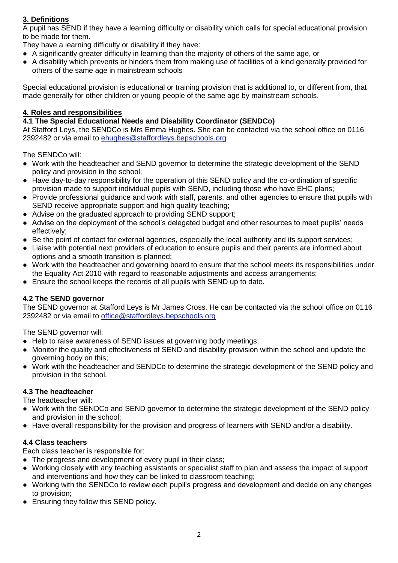# **3. Definitions**

A pupil has SEND if they have a learning difficulty or disability which calls for special educational provision to be made for them.

They have a learning difficulty or disability if they have:

- A significantly greater difficulty in learning than the majority of others of the same age, or
- A disability which prevents or hinders them from making use of facilities of a kind generally provided for others of the same age in mainstream schools

Special educational provision is educational or training provision that is additional to, or different from, that made generally for other children or young people of the same age by mainstream schools.

### **4. Roles and responsibilities**

## **4.1 The Special Educational Needs and Disability Coordinator (SENDCo)**

At Stafford Leys, the SENDCo is Mrs Emma Hughes. She can be contacted via the school office on 0116 2392482 or via email to ehughes@staffordleys.bepschools.org

The SENDCo will:

- Work with the headteacher and SEND governor to determine the strategic development of the SEND policy and provision in the school;
- Have day-to-day responsibility for the operation of this SEND policy and the co-ordination of specific provision made to support individual pupils with SEND, including those who have EHC plans;
- Provide professional guidance and work with staff, parents, and other agencies to ensure that pupils with SEND receive appropriate support and high quality teaching;
- Advise on the graduated approach to providing SEND support;
- Advise on the deployment of the school's delegated budget and other resources to meet pupils' needs effectively;
- Be the point of contact for external agencies, especially the local authority and its support services;
- Liaise with potential next providers of education to ensure pupils and their parents are informed about options and a smooth transition is planned;
- Work with the headteacher and governing board to ensure that the school meets its responsibilities under the Equality Act 2010 with regard to reasonable adjustments and access arrangements;
- Ensure the school keeps the records of all pupils with SEND up to date.

#### **4.2 The SEND governor**

The SEND governor at Stafford Leys is Mr James Cross. He can be contacted via the school office on 0116 2392482 or via email to office@staffordleys.bepschools.org

The SEND governor will:

- Help to raise awareness of SEND issues at governing body meetings:
- Monitor the quality and effectiveness of SEND and disability provision within the school and update the governing body on this;
- Work with the headteacher and SENDCo to determine the strategic development of the SEND policy and provision in the school.

## **4.3 The headteacher**

The headteacher will:

- Work with the SENDCo and SEND governor to determine the strategic development of the SEND policy and provision in the school;
- Have overall responsibility for the provision and progress of learners with SEND and/or a disability.

## **4.4 Class teachers**

Each class teacher is responsible for:

- The progress and development of every pupil in their class;
- Working closely with any teaching assistants or specialist staff to plan and assess the impact of support and interventions and how they can be linked to classroom teaching;
- Working with the SENDCo to review each pupil's progress and development and decide on any changes to provision;
- Ensuring they follow this SEND policy.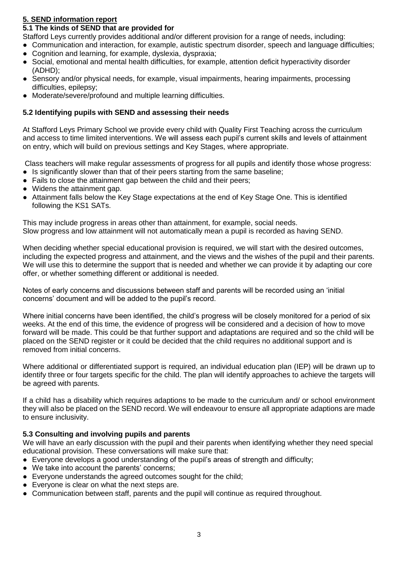## **5. SEND information report**

## **5.1 The kinds of SEND that are provided for**

Stafford Leys currently provides additional and/or different provision for a range of needs, including:

- Communication and interaction, for example, autistic spectrum disorder, speech and language difficulties;
- Cognition and learning, for example, dyslexia, dyspraxia;
- Social, emotional and mental health difficulties, for example, attention deficit hyperactivity disorder (ADHD);
- Sensory and/or physical needs, for example, visual impairments, hearing impairments, processing difficulties, epilepsy;
- Moderate/severe/profound and multiple learning difficulties.

### **5.2 Identifying pupils with SEND and assessing their needs**

At Stafford Leys Primary School we provide every child with Quality First Teaching across the curriculum and access to time limited interventions. We will assess each pupil's current skills and levels of attainment on entry, which will build on previous settings and Key Stages, where appropriate.

Class teachers will make regular assessments of progress for all pupils and identify those whose progress: • Is significantly slower than that of their peers starting from the same baseline;

- Fails to close the attainment gap between the child and their peers;
- Widens the attainment gap.
- Attainment falls below the Key Stage expectations at the end of Key Stage One. This is identified following the KS1 SATs.

This may include progress in areas other than attainment, for example, social needs. Slow progress and low attainment will not automatically mean a pupil is recorded as having SEND.

When deciding whether special educational provision is required, we will start with the desired outcomes, including the expected progress and attainment, and the views and the wishes of the pupil and their parents. We will use this to determine the support that is needed and whether we can provide it by adapting our core offer, or whether something different or additional is needed.

Notes of early concerns and discussions between staff and parents will be recorded using an 'initial concerns' document and will be added to the pupil's record.

Where initial concerns have been identified, the child's progress will be closely monitored for a period of six weeks. At the end of this time, the evidence of progress will be considered and a decision of how to move forward will be made. This could be that further support and adaptations are required and so the child will be placed on the SEND register or it could be decided that the child requires no additional support and is removed from initial concerns.

Where additional or differentiated support is required, an individual education plan (IEP) will be drawn up to identify three or four targets specific for the child. The plan will identify approaches to achieve the targets will be agreed with parents.

If a child has a disability which requires adaptions to be made to the curriculum and/ or school environment they will also be placed on the SEND record. We will endeavour to ensure all appropriate adaptions are made to ensure inclusivity.

## **5.3 Consulting and involving pupils and parents**

We will have an early discussion with the pupil and their parents when identifying whether they need special educational provision. These conversations will make sure that:

- Everyone develops a good understanding of the pupil's areas of strength and difficulty;
- We take into account the parents' concerns;
- Everyone understands the agreed outcomes sought for the child;
- Everyone is clear on what the next steps are.
- Communication between staff, parents and the pupil will continue as required throughout.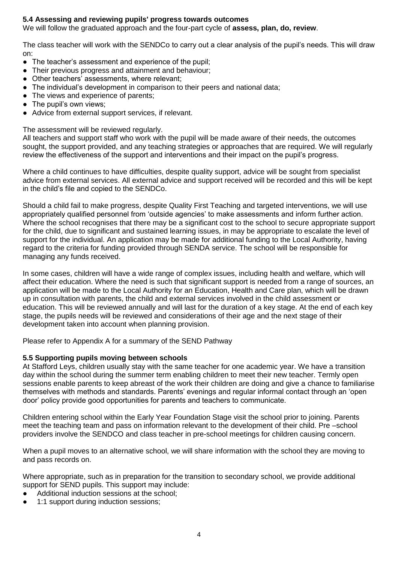### **5.4 Assessing and reviewing pupils' progress towards outcomes**

We will follow the graduated approach and the four-part cycle of **assess, plan, do, review**.

The class teacher will work with the SENDCo to carry out a clear analysis of the pupil's needs. This will draw on:

- The teacher's assessment and experience of the pupil;
- Their previous progress and attainment and behaviour;
- Other teachers' assessments, where relevant;
- The individual's development in comparison to their peers and national data;
- The views and experience of parents;
- The pupil's own views;
- Advice from external support services, if relevant.

The assessment will be reviewed regularly.

All teachers and support staff who work with the pupil will be made aware of their needs, the outcomes sought, the support provided, and any teaching strategies or approaches that are required. We will regularly review the effectiveness of the support and interventions and their impact on the pupil's progress.

Where a child continues to have difficulties, despite quality support, advice will be sought from specialist advice from external services. All external advice and support received will be recorded and this will be kept in the child's file and copied to the SENDCo.

Should a child fail to make progress, despite Quality First Teaching and targeted interventions, we will use appropriately qualified personnel from 'outside agencies' to make assessments and inform further action. Where the school recognises that there may be a significant cost to the school to secure appropriate support for the child, due to significant and sustained learning issues, in may be appropriate to escalate the level of support for the individual. An application may be made for additional funding to the Local Authority, having regard to the criteria for funding provided through SENDA service. The school will be responsible for managing any funds received.

In some cases, children will have a wide range of complex issues, including health and welfare, which will affect their education. Where the need is such that significant support is needed from a range of sources, an application will be made to the Local Authority for an Education, Health and Care plan, which will be drawn up in consultation with parents, the child and external services involved in the child assessment or education. This will be reviewed annually and will last for the duration of a key stage. At the end of each key stage, the pupils needs will be reviewed and considerations of their age and the next stage of their development taken into account when planning provision.

Please refer to Appendix A for a summary of the SEND Pathway

#### **5.5 Supporting pupils moving between schools**

At Stafford Leys, children usually stay with the same teacher for one academic year. We have a transition day within the school during the summer term enabling children to meet their new teacher. Termly open sessions enable parents to keep abreast of the work their children are doing and give a chance to familiarise themselves with methods and standards. Parents' evenings and regular informal contact through an 'open door' policy provide good opportunities for parents and teachers to communicate.

Children entering school within the Early Year Foundation Stage visit the school prior to joining. Parents meet the teaching team and pass on information relevant to the development of their child. Pre –school providers involve the SENDCO and class teacher in pre-school meetings for children causing concern.

When a pupil moves to an alternative school, we will share information with the school they are moving to and pass records on.

Where appropriate, such as in preparation for the transition to secondary school, we provide additional support for SEND pupils. This support may include:

- Additional induction sessions at the school;
- 1:1 support during induction sessions;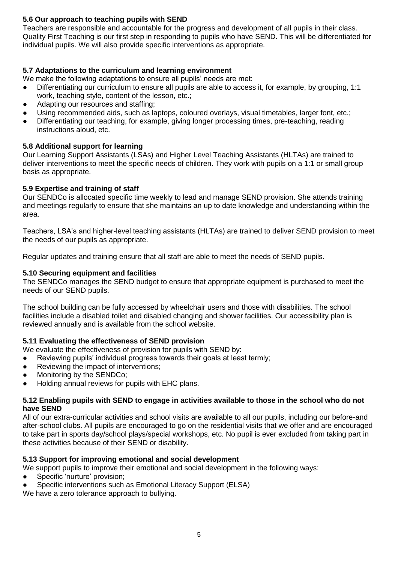## **5.6 Our approach to teaching pupils with SEND**

Teachers are responsible and accountable for the progress and development of all pupils in their class. Quality First Teaching is our first step in responding to pupils who have SEND. This will be differentiated for individual pupils. We will also provide specific interventions as appropriate.

## **5.7 Adaptations to the curriculum and learning environment**

We make the following adaptations to ensure all pupils' needs are met:

- Differentiating our curriculum to ensure all pupils are able to access it, for example, by grouping, 1:1 work, teaching style, content of the lesson, etc.;
- Adapting our resources and staffing;
- Using recommended aids, such as laptops, coloured overlays, visual timetables, larger font, etc.;
- Differentiating our teaching, for example, giving longer processing times, pre-teaching, reading instructions aloud, etc.

### **5.8 Additional support for learning**

Our Learning Support Assistants (LSAs) and Higher Level Teaching Assistants (HLTAs) are trained to deliver interventions to meet the specific needs of children. They work with pupils on a 1:1 or small group basis as appropriate.

### **5.9 Expertise and training of staff**

Our SENDCo is allocated specific time weekly to lead and manage SEND provision. She attends training and meetings regularly to ensure that she maintains an up to date knowledge and understanding within the area.

Teachers, LSA's and higher-level teaching assistants (HLTAs) are trained to deliver SEND provision to meet the needs of our pupils as appropriate.

Regular updates and training ensure that all staff are able to meet the needs of SEND pupils.

### **5.10 Securing equipment and facilities**

The SENDCo manages the SEND budget to ensure that appropriate equipment is purchased to meet the needs of our SEND pupils.

The school building can be fully accessed by wheelchair users and those with disabilities. The school facilities include a disabled toilet and disabled changing and shower facilities. Our accessibility plan is reviewed annually and is available from the school website.

## **5.11 Evaluating the effectiveness of SEND provision**

- We evaluate the effectiveness of provision for pupils with SEND by:
- Reviewing pupils' individual progress towards their goals at least termly;
- Reviewing the impact of interventions;
- Monitoring by the SENDCo;
- Holding annual reviews for pupils with EHC plans.

#### **5.12 Enabling pupils with SEND to engage in activities available to those in the school who do not have SEND**

All of our extra-curricular activities and school visits are available to all our pupils, including our before-and after-school clubs. All pupils are encouraged to go on the residential visits that we offer and are encouraged to take part in sports day/school plays/special workshops, etc. No pupil is ever excluded from taking part in these activities because of their SEND or disability.

## **5.13 Support for improving emotional and social development**

- We support pupils to improve their emotional and social development in the following ways:
- Specific 'nurture' provision:
- Specific interventions such as Emotional Literacy Support (ELSA)

We have a zero tolerance approach to bullying.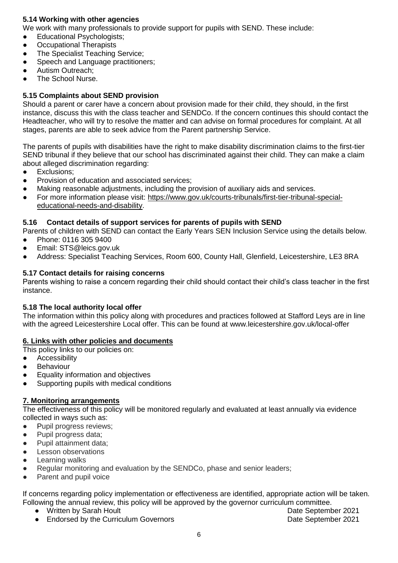## **5.14 Working with other agencies**

We work with many professionals to provide support for pupils with SEND. These include:

- Educational Psychologists;
- **Occupational Therapists**
- The Specialist Teaching Service;
- Speech and Language practitioners;
- Autism Outreach;
- The School Nurse.

## **5.15 Complaints about SEND provision**

Should a parent or carer have a concern about provision made for their child, they should, in the first instance, discuss this with the class teacher and SENDCo. If the concern continues this should contact the Headteacher, who will try to resolve the matter and can advise on formal procedures for complaint. At all stages, parents are able to seek advice from the Parent partnership Service.

The parents of pupils with disabilities have the right to make disability discrimination claims to the first-tier SEND tribunal if they believe that our school has discriminated against their child. They can make a claim about alleged discrimination regarding:

- Exclusions;
- Provision of education and associated services:
- Making reasonable adjustments, including the provision of auxiliary aids and services.
- For more information please visit: [https://www.gov.uk/courts-tribunals/first-tier-tribunal-special](https://www.gov.uk/courts-tribunals/first-tier-tribunal-special-educational-needs-and-disability)[educational-needs-and-disability.](https://www.gov.uk/courts-tribunals/first-tier-tribunal-special-educational-needs-and-disability)

### **5.16 Contact details of support services for parents of pupils with SEND**

Parents of children with SEND can contact the Early Years SEN Inclusion Service using the details below.

- Phone: 0116 305 9400
- [Email: STS@leics.gov.uk](about:blank)
- Address: Specialist Teaching Services, Room 600, County Hall, Glenfield, Leicestershire, LE3 8RA

### **5.17 Contact details for raising concerns**

Parents wishing to raise a concern regarding their child should contact their child's class teacher in the first instance.

#### **5.18 The local authority local offer**

The information within this policy along with procedures and practices followed at Stafford Leys are in line with the agreed Leicestershire Local offer. This can be found at [www.leicestershire.gov.uk/local-offer](http://www.leicestershire.gov.uk/local-offer)

#### **6. Links with other policies and documents**

This policy links to our policies on:

- **•** Accessibility
- **•** Behaviour
- Equality information and objectives
- Supporting pupils with medical conditions

## **7. Monitoring arrangements**

The effectiveness of this policy will be monitored regularly and evaluated at least annually via evidence collected in ways such as:

- Pupil progress reviews;
- Pupil progress data;
- Pupil attainment data:
- Lesson observations
- Learning walks
- Regular monitoring and evaluation by the SENDCo, phase and senior leaders;
- Parent and pupil voice

If concerns regarding policy implementation or effectiveness are identified, appropriate action will be taken. Following the annual review, this policy will be approved by the governor curriculum committee.

- Written by Sarah Hoult Date September 2021
	-
- **Endorsed by the Curriculum Governors Community Community Control Control Control Control Control Control Control Control Control Control Control Control Control Control Control Control Control Control Control Control Cont**